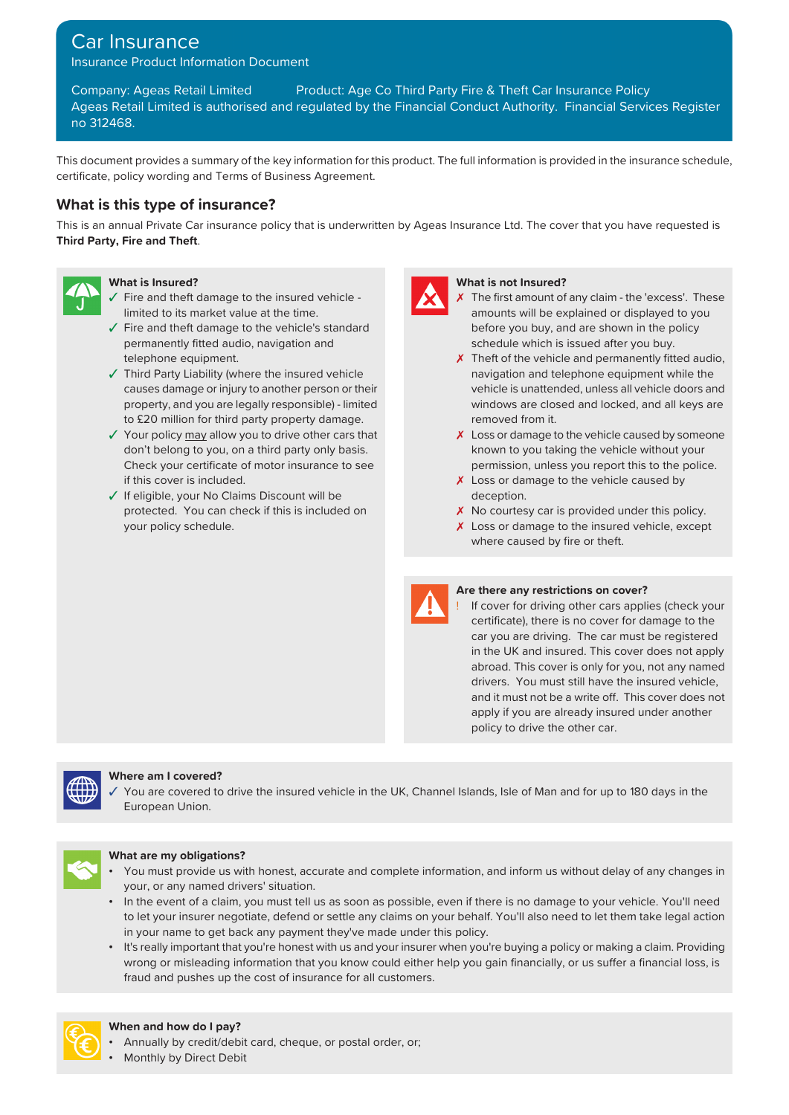# Car Insurance

Insurance Product Information Document

Company: Ageas Retail Limited Product: Age Co Third Party Fire & Theft Car Insurance Policy Ageas Retail Limited is authorised and regulated by the Financial Conduct Authority. Financial Services Register no 312468.

This document provides a summary of the key information for this product. The full information is provided in the insurance schedule, certificate, policy wording and Terms of Business Agreement.

## **What is this type of insurance?**

This is an annual Private Car insurance policy that is underwritten by Ageas Insurance Ltd. The cover that you have requested is **Third Party, Fire and Theft**.



- $\checkmark$  Fire and theft damage to the insured vehicle limited to its market value at the time.
- ✓ Fire and theft damage to the vehicle's standard permanently fitted audio, navigation and
- ✓ Third Party Liability (where the insured vehicle navigation and telephone equipment while the property, and you are legally responsible) - limited to £20 million for third party property damage.
- don't belong to you, on a third party only basis. Check your certificate of motor insurance to see if this cover is included.  $\boldsymbol{\mathsf{X}}$  Loss or damage to the vehicle caused by
- ✓ If eligible, your No Claims Discount will be deception. protected. You can check if this is included on your policy schedule.



#### **What is Insured? What is not Insured?**

- $\chi$  The first amount of any claim the 'excess'. These amounts will be explained or displayed to you before you buy, and are shown in the policy schedule which is issued after you buy.
- telephone equipment.  $\boldsymbol{\mathsf{X}}$  Theft of the vehicle and permanently fitted audio, causes damage or injury to another person or their vehicle is unattended, unless all vehicle doors and windows are closed and locked, and all keys are removed from it.
- $\checkmark$  Your policy may allow you to drive other cars that  $\checkmark$  Loss or damage to the vehicle caused by someone known to you taking the vehicle without your permission, unless you report this to the police.
	-
	- X No courtesy car is provided under this policy.
	- X Loss or damage to the insured vehicle, except where caused by fire or theft.



#### **Are there any restrictions on cover?**

If cover for driving other cars applies (check your certificate), there is no cover for damage to the car you are driving. The car must be registered in the UK and insured. This cover does not apply abroad. This cover is only for you, not any named drivers. You must still have the insured vehicle, and it must not be a write off. This cover does not apply if you are already insured under another policy to drive the other car.



#### **Where am I covered?**

You are covered to drive the insured vehicle in the UK, Channel Islands, Isle of Man and for up to 180 days in the European Union.



### **What are my obligations?**

- You must provide us with honest, accurate and complete information, and inform us without delay of any changes in your, or any named drivers' situation.
- In the event of a claim, you must tell us as soon as possible, even if there is no damage to your vehicle. You'll need to let your insurer negotiate, defend or settle any claims on your behalf. You'll also need to let them take legal action in your name to get back any payment they've made under this policy.
- It's really important that you're honest with us and your insurer when you're buying a policy or making a claim. Providing wrong or misleading information that you know could either help you gain financially, or us suffer a financial loss, is fraud and pushes up the cost of insurance for all customers.



#### **When and how do I pay?**

- Annually by credit/debit card, cheque, or postal order, or;
- Monthly by Direct Debit